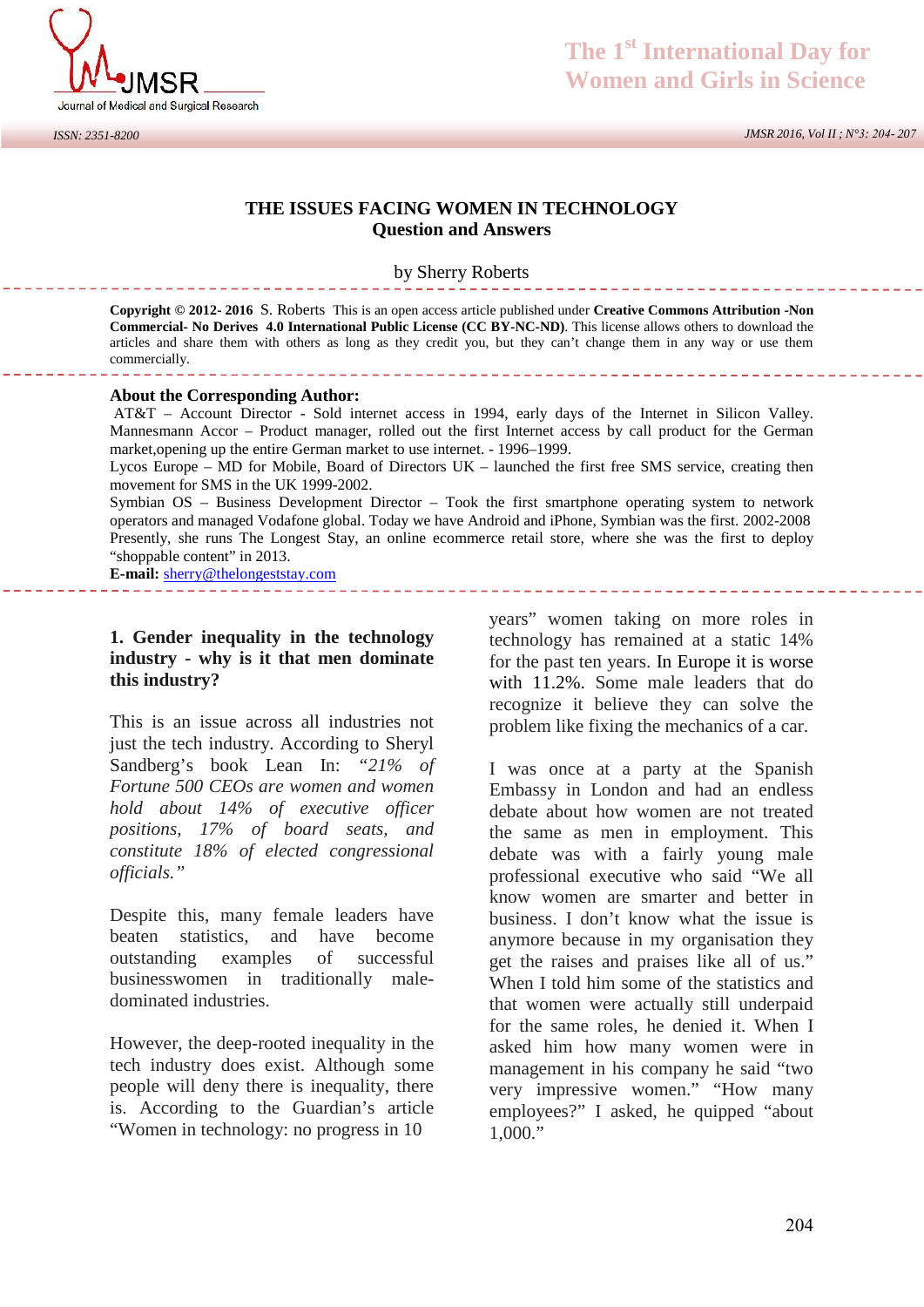

*ISSN: 2351-8200*

### **The 1st International Day for Women and Girls in Science**

*JMSR 2016, Vol II ; N°3: 204- 207*

#### **THE ISSUES FACING WOMEN IN TECHNOLOGY Question and Answers**

#### by Sherry Roberts

**Copyright © 2012- 2016** S. Roberts This is an open access article published under **Creative Commons Attribution -Non Commercial- No Derives 4.0 International Public License (CC BY-NC-ND)**. This license allows others to download the articles and share them with others as long as they credit you, but they can't change them in any way or use them commercially.

#### **About the Corresponding Author:**

AT&T – Account Director - Sold internet access in 1994, early days of the Internet in Silicon Valley. Mannesmann Accor – Product manager, rolled out the first Internet access by call product for the German market,opening up the entire German market to use internet. - 1996–1999.

Lycos Europe – MD for Mobile, Board of Directors UK – launched the first free SMS service, creating then movement for SMS in the UK 1999-2002.

Symbian OS – Business Development Director – Took the first smartphone operating system to network operators and managed Vodafone global. Today we have Android and iPhone, Symbian was the first. 2002-2008 Presently, she runs The Longest Stay, an online ecommerce retail store, where she was the first to deploy "shoppable content" in 2013.<br> **E-mail:** sherry@thelongeststay.com<br> **1. Gender inequality in the technology** vecass<sup>3</sup> "shoppable content" in 2013.

**E-mail:** sherry@thelongeststay.com

## **industry - why is it that men dominate this industry?**

This is an issue across all industries not just the tech industry. According to Sheryl Sandberg's book Lean In: *"21% of Fortune 500 CEOs are women and women hold about 14% of executive officer positions, 17% of board seats, and constitute 18% of elected congressional officials."*

Despite this, many female leaders have beaten statistics, and have become outstanding examples of successful businesswomen in traditionally male dominated industries.

However, the deep-rooted inequality in the tech industry does exist. Although some people will deny there is inequality, there is. According to the Guardian's article "Women in technology: no progress in 10

years" women taking on more roles in technology has remained at a static 14% for the past ten years. In Europe it is worse with 11.2%. Some male leaders that do recognize it believe they can solve the problem like fixing the mechanics of a car.

I was once at a party at the Spanish Embassy in London and had an endless debate about how women are not treated the same as men in employment. This debate was with a fairly young male professional executive who said "We all know women are smarter and better in business. I don't know what the issue is anymore because in my organisation they get the raises and praises like all of us." When I told him some of the statistics and that women were actually still underpaid for the same roles, he denied it. When I asked him how many women were in management in his company he said "two very impressive women." "How many employees?" I asked, he quipped "about 1,000."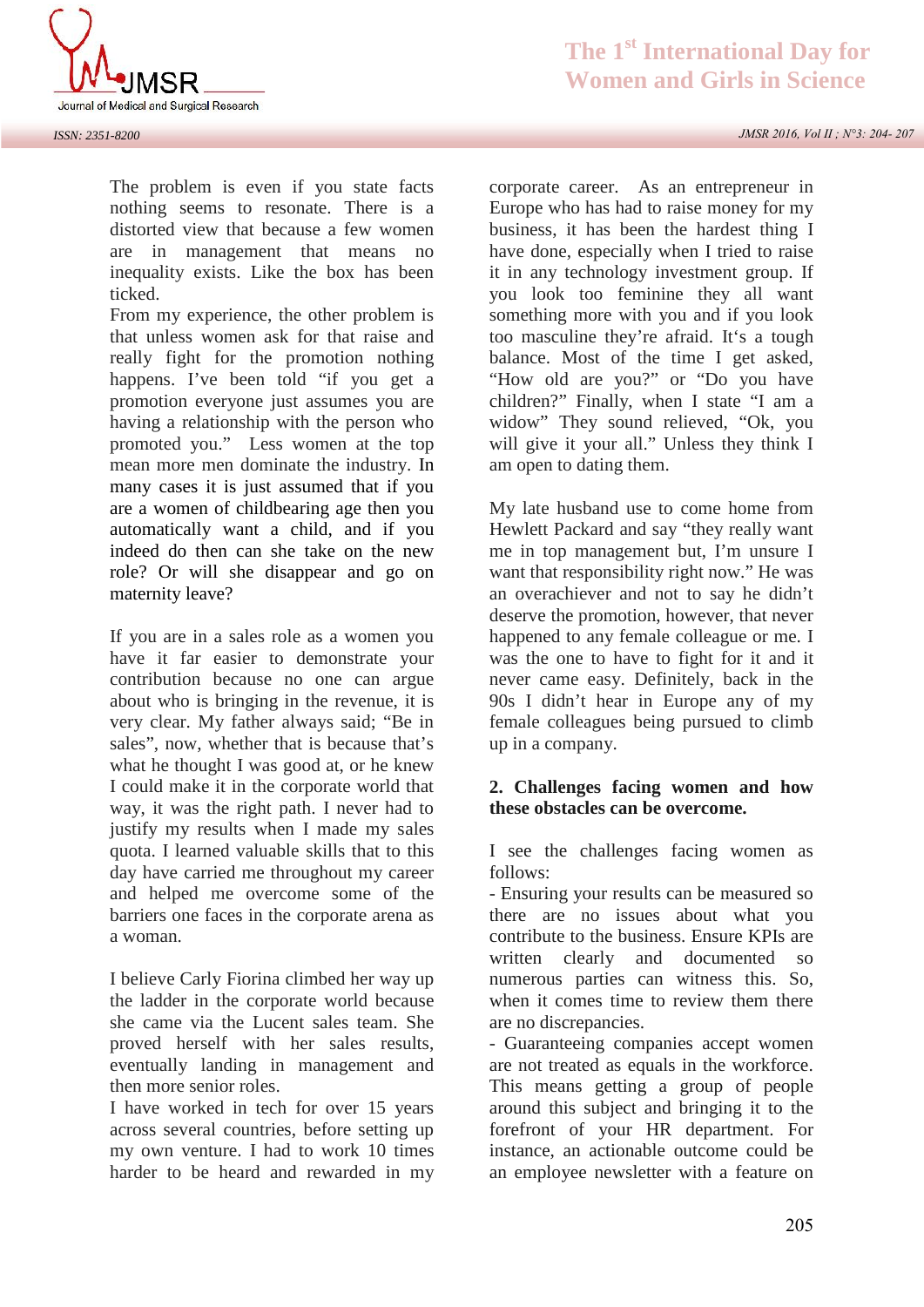

The problem is even if you state facts nothing seems to resonate. There is a distorted view that because a few women are in management that means no inequality exists. Like the box has been ticked.

From my experience, the other problem is that unless women ask for that raise and really fight for the promotion nothing happens. I've been told "if you get a promotion everyone just assumes you are having a relationship with the person who promoted you." Less women at the top mean more men dominate the industry. In many cases it is just assumed that if you are a women of childbearing age then you automatically want a child, and if you indeed do then can she take on the new role? Or will she disappear and go on maternity leave?

If you are in a sales role as a women you have it far easier to demonstrate your contribution because no one can argue about who is bringing in the revenue, it is very clear. My father always said; "Be in sales", now, whether that is because that's what he thought I was good at, or he knew I could make it in the corporate world that way, it was the right path. I never had to justify my results when I made my sales quota. I learned valuable skills that to this day have carried me throughout my career and helped me overcome some of the barriers one faces in the corporate arena as a woman.

I believe Carly Fiorina climbed her way up the ladder in the corporate world because she came via the Lucent sales team. She proved herself with her sales results, eventually landing in management and then more senior roles.

I have worked in tech for over 15 years across several countries, before setting up my own venture. I had to work 10 times harder to be heard and rewarded in my *JMSR 2016, Vol II ; N°3: 204- 207*

corporate career. As an entrepreneur in Europe who has had to raise money for my business, it has been the hardest thing I have done, especially when I tried to raise it in any technology investment group. If you look too feminine they all want something more with you and if you look too masculine they're afraid. It's a tough balance. Most of the time I get asked, "How old are you?" or "Do you have children?" Finally, when I state "I am a widow" They sound relieved, "Ok, you will give it your all." Unless they think I am open to dating them.

My late husband use to come home from Hewlett Packard and say "they really want me in top management but, I'm unsure I want that responsibility right now." He was an overachiever and not to say he didn't deserve the promotion, however, that never happened to any female colleague or me. I was the one to have to fight for it and it never came easy. Definitely, back in the 90s I didn't hear in Europe any of my female colleagues being pursued to climb up in a company. mever came easy. Definitely, back in the<br>90s I didn't hear in Europe any of my<br>female colleagues being pursued to climb<br>up in a company.<br>**2. Challenges facing women and how**<br>these obstacles can be overcome.

# **these obstacles can be overcome.**

I see the challenges facing women as follows:

- Ensuring your results can be measured so there are no issues about what you contribute to the business. Ensure KPIs are written clearly and documented so numerous parties can witness this. So, when it comes time to review them there are no discrepancies.

- Guaranteeing companies accept women are not treated as equals in the workforce. This means getting a group of people around this subject and bringing it to the forefront of your HR department. For instance, an actionable outcome could be an employee newsletter with a feature on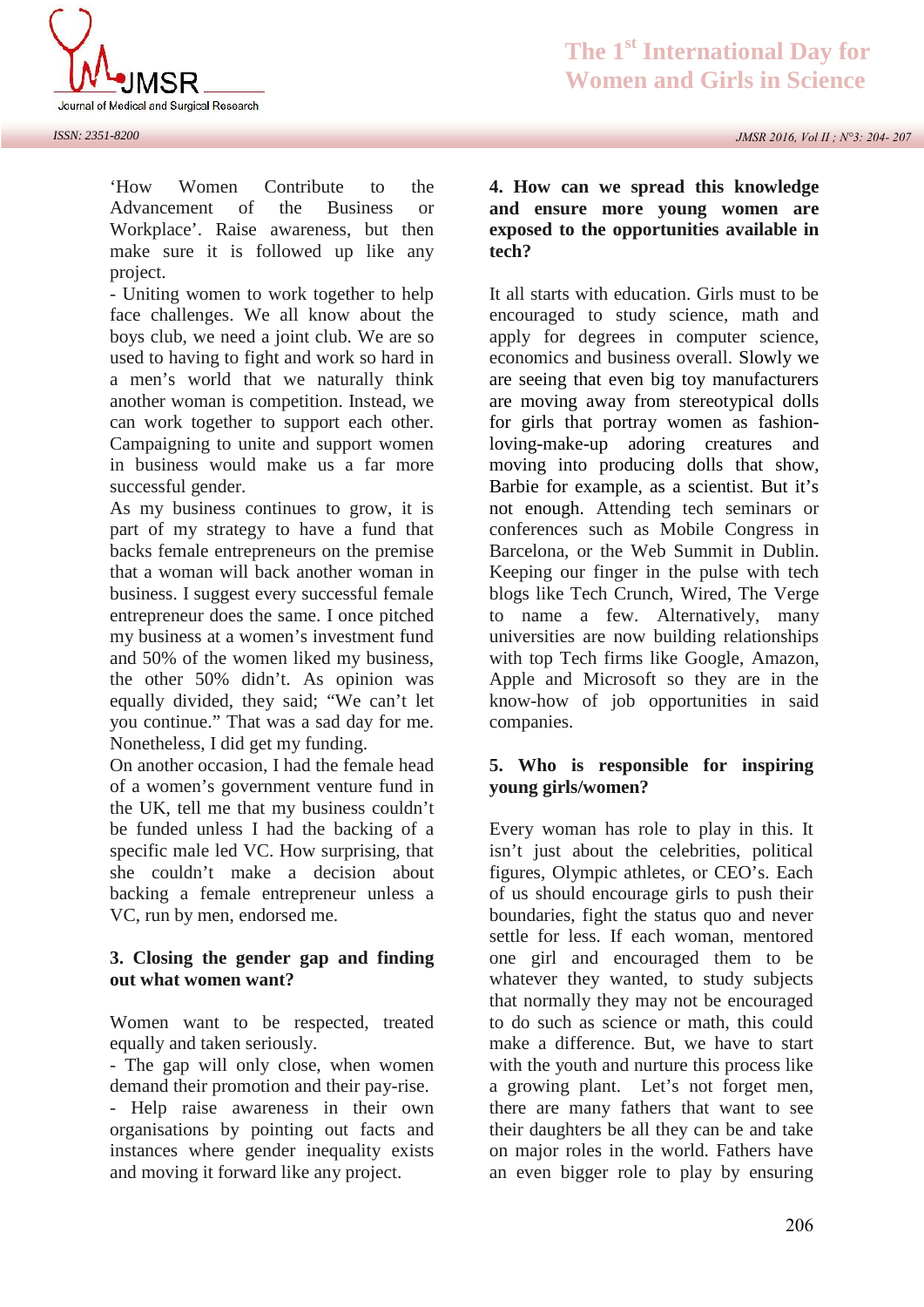

'How Women Contribute to the 4. How can we spread this knowledge Advancement of the Business or Workplace'. Raise awareness, but then make sure it is followed up like any project.

- Uniting women to work together to help face challenges. We all know about the boys club, we need a joint club. We are so used to having to fight and work so hard in a men's world that we naturally think another woman is competition. Instead, we can work together to support each other. Campaigning to unite and support women in business would make us a far more successful gender.

As my business continues to grow, it is part of my strategy to have a fund that backs female entrepreneurs on the premise that a woman will back another woman in business. I suggest every successful female entrepreneur does the same. I once pitched my business at a women's investment fund and 50% of the women liked my business, the other 50% didn't. As opinion was equally divided, they said; "We can't let you continue." That was a sad day for me. Nonetheless, I did get my funding.

On another occasion, I had the female head 5. Who is responsible for inspiring of a women's government venture fund in the UK, tell me that my business couldn't be funded unless I had the backing of a specific male led VC. How surprising, that she couldn't make a decision about backing a female entrepreneur unless a VC, run by men, endorsed me.

#### **3. Closing the gender gap and finding out what women want?**

Women want to be respected, treated equally and taken seriously.

- The gap will only close, when women demand their promotion and their pay-rise. - Help raise awareness in their own organisations by pointing out facts and instances where gender inequality exists and moving it forward like any project.

*JMSR 2016, Vol II ; N°3: 204- 207*

# **4. How can we spread this knowledge<br>
<b>4. How can we spread this knowledge**<br> **and ensure more young women are exposed to the opportunities available in tech?**

It all starts with education. Girls must to be encouraged to study science, math and apply for degrees in computer science, economics and business overall. Slowly we are seeing that even big toy manufacturers are moving away from stereotypical dolls for girls that portray women as fashionloving-make-up adoring creatures and moving into producing dolls that show, Barbie for example, as a scientist. But it's not enough. Attending tech seminars or conferences such as Mobile Congress in Barcelona, or the Web Summit in Dublin. Keeping our finger in the pulse with tech blogs like Tech Crunch, Wired, The Verge to name a few. Alternatively, many universities are now building relationships with top Tech firms like Google, Amazon, Apple and Microsoft so they are in the know-how of job opportunities in said companies. with top Tech firms like Google, Amazon,<br>Apple and Microsoft so they are in the<br>know-how of job opportunities in said<br>companies.<br>**5. Who is responsible for inspiring**<br>**young girls/women?** 

# **young girls/women?**

Every woman has role to play in this. It isn't just about the celebrities, political figures, Olympic athletes, or CEO's. Each of us should encourage girls to push their boundaries, fight the status quo and never settle for less. If each woman, mentored one girl and encouraged them to be whatever they wanted, to study subjects that normally they may not be encouraged to do such as science or math, this could make a difference. But, we have to start with the youth and nurture this process like a growing plant. Let's not forget men, there are many fathers that want to see their daughters be all they can be and take on major roles in the world. Fathers have an even bigger role to play by ensuring